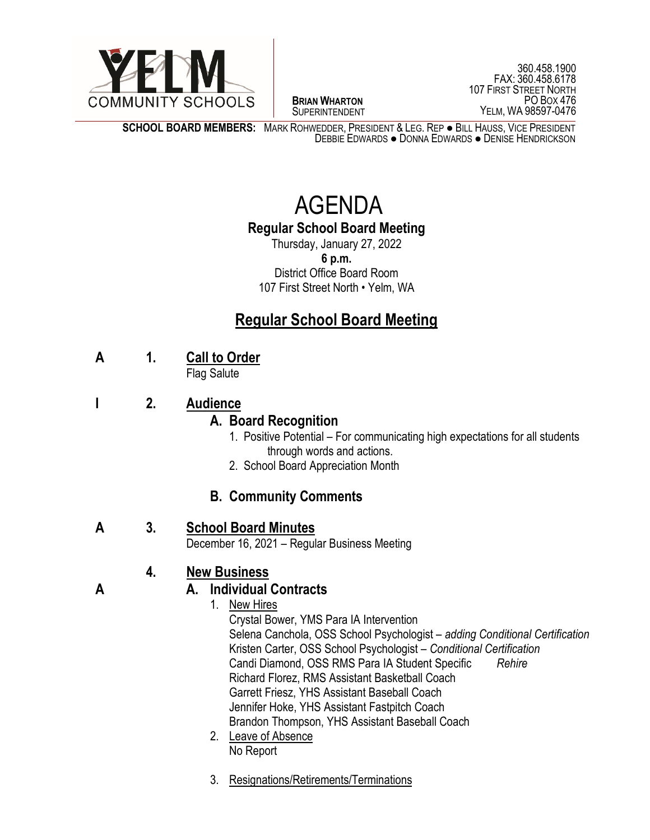

 $\overline{a}$ **BRIAN WHARTON** SUPERINTENDENT

360.458.1900 FAX: 360.458.6178 107 FIRST STREET NORTH PO BOX 476 YELM, WA 98597-0476

**SCHOOL BOARD MEMBERS:** MARK ROHWEDDER, PRESIDENT & LEG. REP ● BILL HAUSS, VICE PRESIDENT DEBBIE EDWARDS ● DONNA EDWARDS ● DENISE HENDRICKSON

# AGENDA

# **Regular School Board Meeting**

Thursday, January 27, 2022 **6 p.m.** District Office Board Room 107 First Street North • Yelm, WA

# **Regular School Board Meeting**

**A 1. Call to Order**

Flag Salute

## **I 2. Audience**

#### **A. Board Recognition**

- 1.Positive Potential For communicating high expectations for all students through words and actions.
- 2. School Board Appreciation Month

# **B. Community Comments**

#### **A 3. School Board Minutes**

December 16, 2021 – Regular Business Meeting

# **4. New Business**

#### **A A. Individual Contracts**

- 1. New Hires Crystal Bower, YMS Para IA Intervention Selena Canchola, OSS School Psychologist – *adding Conditional Certification* Kristen Carter, OSS School Psychologist – *Conditional Certification* Candi Diamond, OSS RMS Para IA Student Specific *Rehire* Richard Florez, RMS Assistant Basketball Coach Garrett Friesz, YHS Assistant Baseball Coach Jennifer Hoke, YHS Assistant Fastpitch Coach Brandon Thompson, YHS Assistant Baseball Coach
- 2. Leave of Absence No Report
- 3. Resignations/Retirements/Terminations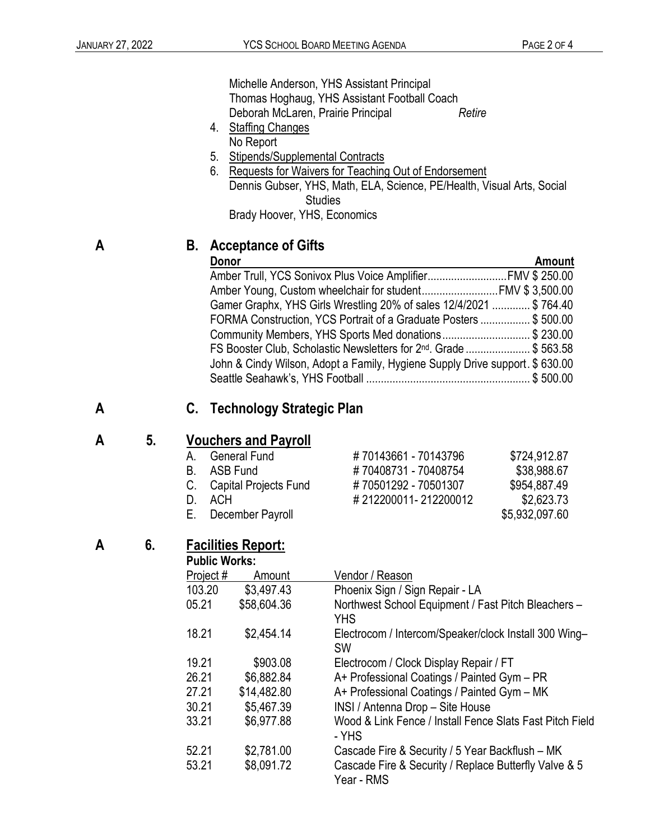Michelle Anderson, YHS Assistant Principal Thomas Hoghaug, YHS Assistant Football Coach Deborah McLaren, Prairie Principal *Retire*

- 4. Staffing Changes No Report
- 5. Stipends/Supplemental Contracts
- 6. Requests for Waivers for Teaching Out of Endorsement Dennis Gubser, YHS, Math, ELA, Science, PE/Health, Visual Arts, Social **Studies** Brady Hoover, YHS, Economics

#### **A B. Acceptance of Gifts**

**Donor Amount** Amber Trull, YCS Sonivox Plus Voice Amplifier...........................FMV \$ 250.00 Amber Young, Custom wheelchair for student..............................FMV \$3,500.00 Gamer Graphx, YHS Girls Wrestling 20% of sales 12/4/2021 ............. \$ 764.40 FORMA Construction, YCS Portrait of a Graduate Posters ................. \$ 500.00 Community Members, YHS Sports Med donations.............................. \$ 230.00 FS Booster Club, Scholastic Newsletters for 2<sup>nd</sup>. Grade ...................... \$ 563.58 John & Cindy Wilson, Adopt a Family, Hygiene Supply Drive support. \$ 630.00 Seattle Seahawk's, YHS Football ........................................................ \$ 500.00

A. General Fund # 70143661 - 70143796 \$724,912.87

#### **A C. Technology Strategic Plan**

#### **A 5. Vouchers and Payroll**

|  | <b>General Fund</b> |  |
|--|---------------------|--|
|  |                     |  |

- B. ASB Fund # 70408731 70408754 \$38,988.67
- C. Capital Projects Fund # 70501292 70501307 \$954,887.49
- D. ACH  $\#212200011 212200012$  \$2,623.73
- E. December Payroll **E.** December Payroll

#### **A 6. Facilities Report:**

#### **Public Works:**

| יטוופ זו טווש |             |                                                                     |  |  |
|---------------|-------------|---------------------------------------------------------------------|--|--|
| Project#      | Amount      | Vendor / Reason                                                     |  |  |
| 103.20        | \$3,497.43  | Phoenix Sign / Sign Repair - LA                                     |  |  |
| 05.21         | \$58,604.36 | Northwest School Equipment / Fast Pitch Bleachers -<br><b>YHS</b>   |  |  |
| 18.21         | \$2,454.14  | Electrocom / Intercom/Speaker/clock Install 300 Wing-<br><b>SW</b>  |  |  |
| 19.21         | \$903.08    | Electrocom / Clock Display Repair / FT                              |  |  |
| 26.21         | \$6,882.84  | A+ Professional Coatings / Painted Gym - PR                         |  |  |
| 27.21         | \$14,482.80 | A+ Professional Coatings / Painted Gym - MK                         |  |  |
| 30.21         | \$5,467.39  | INSI / Antenna Drop - Site House                                    |  |  |
| 33.21         | \$6,977.88  | Wood & Link Fence / Install Fence Slats Fast Pitch Field<br>- YHS   |  |  |
| 52.21         | \$2,781.00  | Cascade Fire & Security / 5 Year Backflush - MK                     |  |  |
| 53.21         | \$8,091.72  | Cascade Fire & Security / Replace Butterfly Valve & 5<br>Year - RMS |  |  |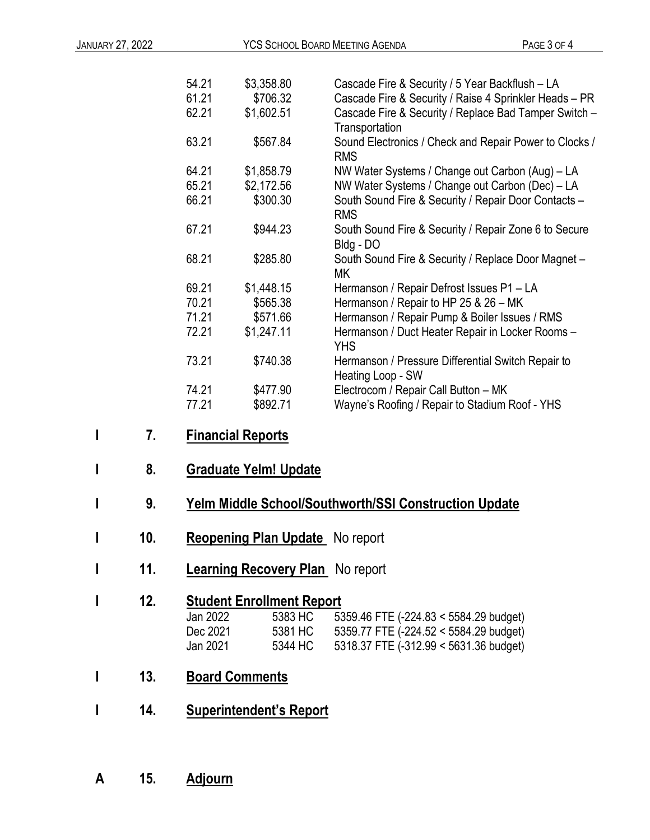| 54.21 | \$3,358.80 | Cascade Fire & Security / 5 Year Backflush - LA                         |
|-------|------------|-------------------------------------------------------------------------|
| 61.21 | \$706.32   | Cascade Fire & Security / Raise 4 Sprinkler Heads - PR                  |
| 62.21 | \$1,602.51 | Cascade Fire & Security / Replace Bad Tamper Switch -<br>Transportation |
| 63.21 | \$567.84   | Sound Electronics / Check and Repair Power to Clocks /<br><b>RMS</b>    |
| 64.21 | \$1,858.79 | NW Water Systems / Change out Carbon (Aug) – LA                         |
| 65.21 | \$2,172.56 | NW Water Systems / Change out Carbon (Dec) - LA                         |
| 66.21 | \$300.30   | South Sound Fire & Security / Repair Door Contacts -<br><b>RMS</b>      |
| 67.21 | \$944.23   | South Sound Fire & Security / Repair Zone 6 to Secure<br>Bldg - DO      |
| 68.21 | \$285.80   | South Sound Fire & Security / Replace Door Magnet -<br>МK               |
| 69.21 | \$1,448.15 | Hermanson / Repair Defrost Issues P1 - LA                               |
| 70.21 | \$565.38   | Hermanson / Repair to HP 25 & 26 - MK                                   |
| 71.21 | \$571.66   | Hermanson / Repair Pump & Boiler Issues / RMS                           |
| 72.21 | \$1,247.11 | Hermanson / Duct Heater Repair in Locker Rooms -<br><b>YHS</b>          |
| 73.21 | \$740.38   | Hermanson / Pressure Differential Switch Repair to<br>Heating Loop - SW |
| 74.21 | \$477.90   | Electrocom / Repair Call Button - MK                                    |
| 77.21 | \$892.71   | Wayne's Roofing / Repair to Stadium Roof - YHS                          |
|       |            |                                                                         |

- **I 7. Financial Reports**
- **I 8. Graduate Yelm! Update**

# **I 9. Yelm Middle School/Southworth/SSI Construction Update**

- **I 10. Reopening Plan Update** No report
- **I 11. Learning Recovery Plan** No report

### **12. Student Enrollment Report**<br>Jan 2022 **5383 HC** 53 Jan 2022 5383 HC 5359.46 FTE (-224.83 < 5584.29 budget) 5381 HC 5359.77 FTE (-224.52 < 5584.29 budget)<br>5344 HC 5318.37 FTE (-312.99 < 5631.36 budget) Jan 2021 5344 HC 5318.37 FTE (-312.99 < 5631.36 budget)

- **I 13. Board Comments**
- **I 14. Superintendent's Report**
- **A 15. Adjourn**